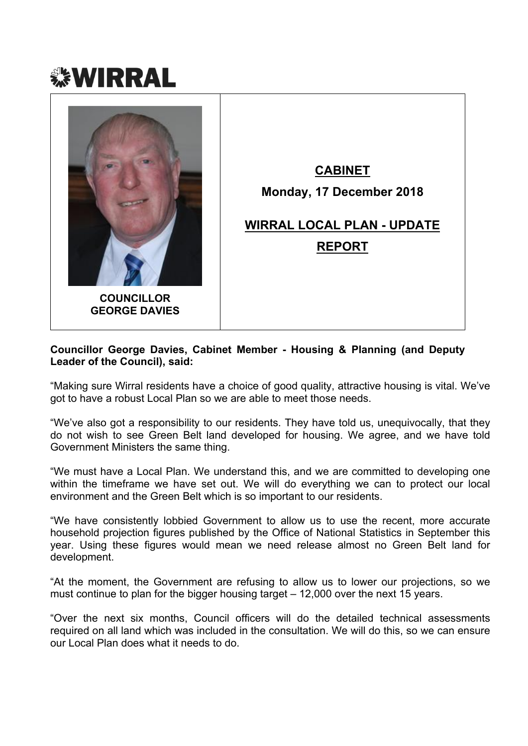



#### **Councillor George Davies, Cabinet Member - Housing & Planning (and Deputy Leader of the Council), said:**

"Making sure Wirral residents have a choice of good quality, attractive housing is vital. We've got to have a robust Local Plan so we are able to meet those needs.

"We've also got a responsibility to our residents. They have told us, unequivocally, that they do not wish to see Green Belt land developed for housing. We agree, and we have told Government Ministers the same thing.

"We must have a Local Plan. We understand this, and we are committed to developing one within the timeframe we have set out. We will do everything we can to protect our local environment and the Green Belt which is so important to our residents.

"We have consistently lobbied Government to allow us to use the recent, more accurate household projection figures published by the Office of National Statistics in September this year. Using these figures would mean we need release almost no Green Belt land for development.

"At the moment, the Government are refusing to allow us to lower our projections, so we must continue to plan for the bigger housing target – 12,000 over the next 15 years.

"Over the next six months, Council officers will do the detailed technical assessments required on all land which was included in the consultation. We will do this, so we can ensure our Local Plan does what it needs to do.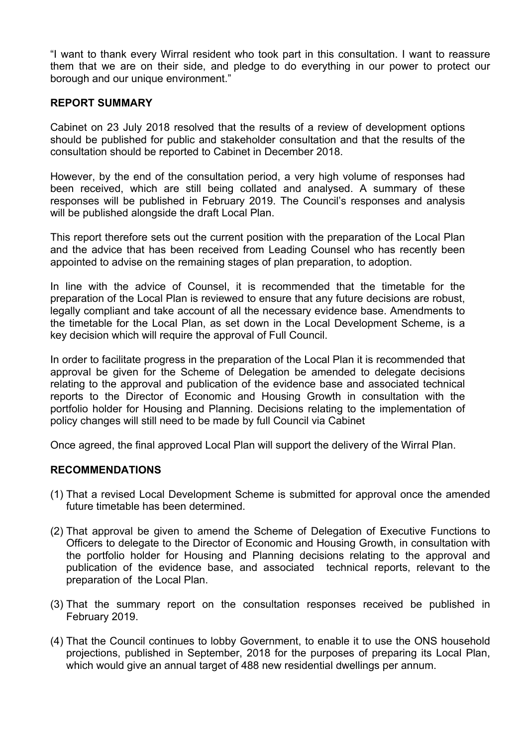"I want to thank every Wirral resident who took part in this consultation. I want to reassure them that we are on their side, and pledge to do everything in our power to protect our borough and our unique environment."

#### **REPORT SUMMARY**

Cabinet on 23 July 2018 resolved that the results of a review of development options should be published for public and stakeholder consultation and that the results of the consultation should be reported to Cabinet in December 2018.

However, by the end of the consultation period, a very high volume of responses had been received, which are still being collated and analysed. A summary of these responses will be published in February 2019. The Council's responses and analysis will be published alongside the draft Local Plan.

This report therefore sets out the current position with the preparation of the Local Plan and the advice that has been received from Leading Counsel who has recently been appointed to advise on the remaining stages of plan preparation, to adoption.

In line with the advice of Counsel, it is recommended that the timetable for the preparation of the Local Plan is reviewed to ensure that any future decisions are robust, legally compliant and take account of all the necessary evidence base. Amendments to the timetable for the Local Plan, as set down in the Local Development Scheme, is a key decision which will require the approval of Full Council.

In order to facilitate progress in the preparation of the Local Plan it is recommended that approval be given for the Scheme of Delegation be amended to delegate decisions relating to the approval and publication of the evidence base and associated technical reports to the Director of Economic and Housing Growth in consultation with the portfolio holder for Housing and Planning. Decisions relating to the implementation of policy changes will still need to be made by full Council via Cabinet

Once agreed, the final approved Local Plan will support the delivery of the Wirral Plan.

#### **RECOMMENDATIONS**

- (1) That a revised Local Development Scheme is submitted for approval once the amended future timetable has been determined.
- (2) That approval be given to amend the Scheme of Delegation of Executive Functions to Officers to delegate to the Director of Economic and Housing Growth, in consultation with the portfolio holder for Housing and Planning decisions relating to the approval and publication of the evidence base, and associated technical reports, relevant to the preparation of the Local Plan.
- (3) That the summary report on the consultation responses received be published in February 2019.
- (4) That the Council continues to lobby Government, to enable it to use the ONS household projections, published in September, 2018 for the purposes of preparing its Local Plan, which would give an annual target of 488 new residential dwellings per annum.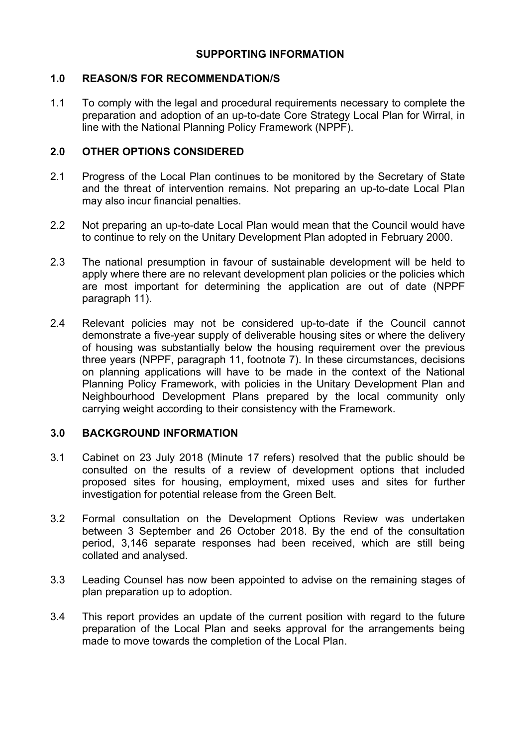# **SUPPORTING INFORMATION**

#### **1.0 REASON/S FOR RECOMMENDATION/S**

1.1 To comply with the legal and procedural requirements necessary to complete the preparation and adoption of an up-to-date Core Strategy Local Plan for Wirral, in line with the National Planning Policy Framework (NPPF).

# **2.0 OTHER OPTIONS CONSIDERED**

- 2.1 Progress of the Local Plan continues to be monitored by the Secretary of State and the threat of intervention remains. Not preparing an up-to-date Local Plan may also incur financial penalties.
- 2.2 Not preparing an up-to-date Local Plan would mean that the Council would have to continue to rely on the Unitary Development Plan adopted in February 2000.
- 2.3 The national presumption in favour of sustainable development will be held to apply where there are no relevant development plan policies or the policies which are most important for determining the application are out of date (NPPF paragraph 11).
- 2.4 Relevant policies may not be considered up-to-date if the Council cannot demonstrate a five-year supply of deliverable housing sites or where the delivery of housing was substantially below the housing requirement over the previous three years (NPPF, paragraph 11, footnote 7). In these circumstances, decisions on planning applications will have to be made in the context of the National Planning Policy Framework, with policies in the Unitary Development Plan and Neighbourhood Development Plans prepared by the local community only carrying weight according to their consistency with the Framework.

#### **3.0 BACKGROUND INFORMATION**

- 3.1 Cabinet on 23 July 2018 (Minute 17 refers) resolved that the public should be consulted on the results of a review of development options that included proposed sites for housing, employment, mixed uses and sites for further investigation for potential release from the Green Belt.
- 3.2 Formal consultation on the Development Options Review was undertaken between 3 September and 26 October 2018. By the end of the consultation period, 3,146 separate responses had been received, which are still being collated and analysed.
- 3.3 Leading Counsel has now been appointed to advise on the remaining stages of plan preparation up to adoption.
- 3.4 This report provides an update of the current position with regard to the future preparation of the Local Plan and seeks approval for the arrangements being made to move towards the completion of the Local Plan.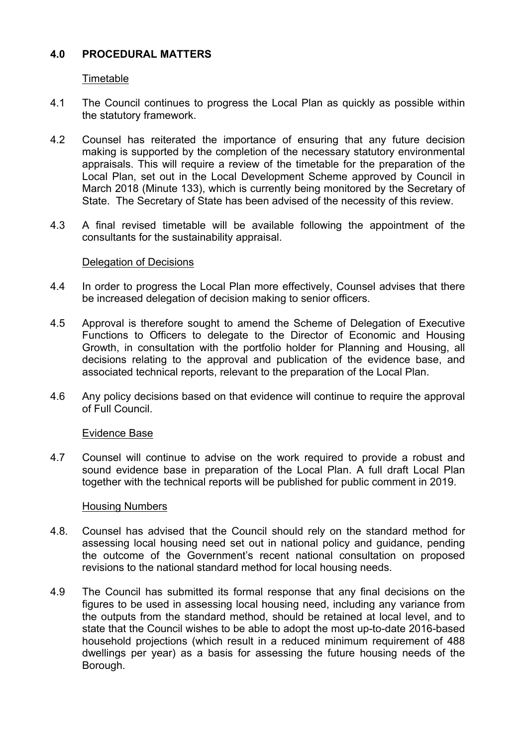## **4.0 PROCEDURAL MATTERS**

Timetable

- 4.1 The Council continues to progress the Local Plan as quickly as possible within the statutory framework.
- 4.2 Counsel has reiterated the importance of ensuring that any future decision making is supported by the completion of the necessary statutory environmental appraisals. This will require a review of the timetable for the preparation of the Local Plan, set out in the Local Development Scheme approved by Council in March 2018 (Minute 133), which is currently being monitored by the Secretary of State. The Secretary of State has been advised of the necessity of this review.
- 4.3 A final revised timetable will be available following the appointment of the consultants for the sustainability appraisal.

#### Delegation of Decisions

- 4.4 In order to progress the Local Plan more effectively, Counsel advises that there be increased delegation of decision making to senior officers.
- 4.5 Approval is therefore sought to amend the Scheme of Delegation of Executive Functions to Officers to delegate to the Director of Economic and Housing Growth, in consultation with the portfolio holder for Planning and Housing, all decisions relating to the approval and publication of the evidence base, and associated technical reports, relevant to the preparation of the Local Plan.
- 4.6 Any policy decisions based on that evidence will continue to require the approval of Full Council.

#### Evidence Base

4.7 Counsel will continue to advise on the work required to provide a robust and sound evidence base in preparation of the Local Plan. A full draft Local Plan together with the technical reports will be published for public comment in 2019.

#### Housing Numbers

- 4.8. Counsel has advised that the Council should rely on the standard method for assessing local housing need set out in national policy and guidance, pending the outcome of the Government's recent national consultation on proposed revisions to the national standard method for local housing needs.
- 4.9 The Council has submitted its formal response that any final decisions on the figures to be used in assessing local housing need, including any variance from the outputs from the standard method, should be retained at local level, and to state that the Council wishes to be able to adopt the most up-to-date 2016-based household projections (which result in a reduced minimum requirement of 488 dwellings per year) as a basis for assessing the future housing needs of the Borough.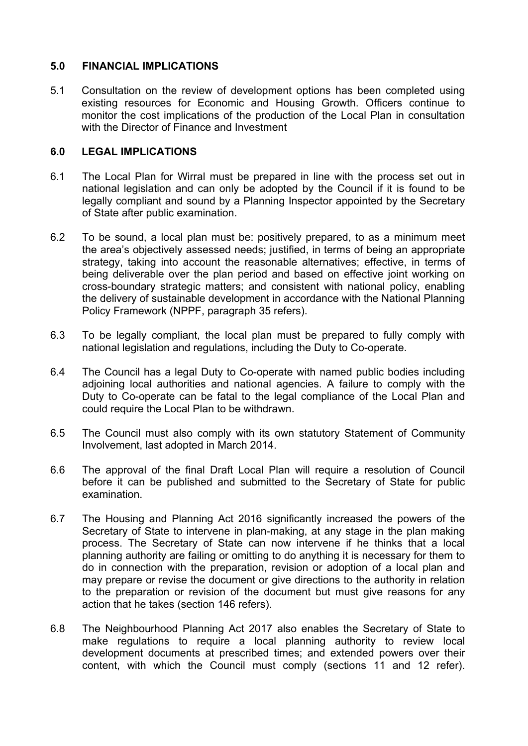# **5.0 FINANCIAL IMPLICATIONS**

5.1 Consultation on the review of development options has been completed using existing resources for Economic and Housing Growth. Officers continue to monitor the cost implications of the production of the Local Plan in consultation with the Director of Finance and Investment

# **6.0 LEGAL IMPLICATIONS**

- 6.1 The Local Plan for Wirral must be prepared in line with the process set out in national legislation and can only be adopted by the Council if it is found to be legally compliant and sound by a Planning Inspector appointed by the Secretary of State after public examination.
- 6.2 To be sound, a local plan must be: positively prepared, to as a minimum meet the area's objectively assessed needs; justified, in terms of being an appropriate strategy, taking into account the reasonable alternatives; effective, in terms of being deliverable over the plan period and based on effective joint working on cross-boundary strategic matters; and consistent with national policy, enabling the delivery of sustainable development in accordance with the National Planning Policy Framework (NPPF, paragraph 35 refers).
- 6.3 To be legally compliant, the local plan must be prepared to fully comply with national legislation and regulations, including the Duty to Co-operate.
- 6.4 The Council has a legal Duty to Co-operate with named public bodies including adjoining local authorities and national agencies. A failure to comply with the Duty to Co-operate can be fatal to the legal compliance of the Local Plan and could require the Local Plan to be withdrawn.
- 6.5 The Council must also comply with its own statutory Statement of Community Involvement, last adopted in March 2014.
- 6.6 The approval of the final Draft Local Plan will require a resolution of Council before it can be published and submitted to the Secretary of State for public examination.
- 6.7 The Housing and Planning Act 2016 significantly increased the powers of the Secretary of State to intervene in plan-making, at any stage in the plan making process. The Secretary of State can now intervene if he thinks that a local planning authority are failing or omitting to do anything it is necessary for them to do in connection with the preparation, revision or adoption of a local plan and may prepare or revise the document or give directions to the authority in relation to the preparation or revision of the document but must give reasons for any action that he takes (section 146 refers).
- 6.8 The Neighbourhood Planning Act 2017 also enables the Secretary of State to make regulations to require a local planning authority to review local development documents at prescribed times; and extended powers over their content, with which the Council must comply (sections 11 and 12 refer).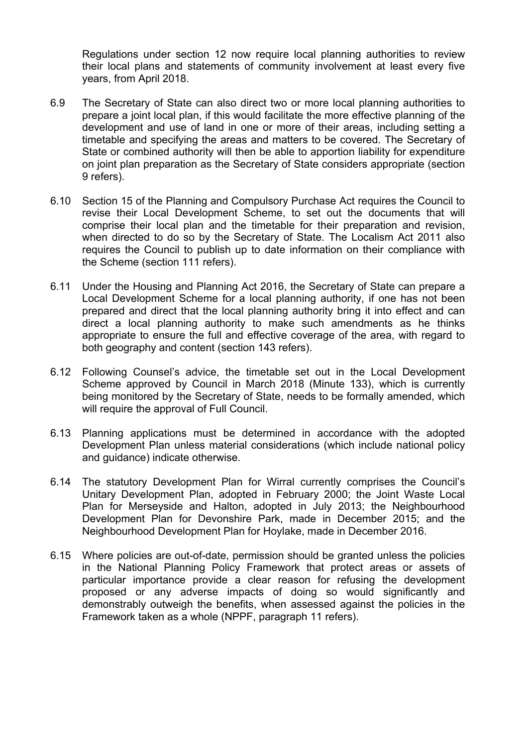Regulations under section 12 now require local planning authorities to review their local plans and statements of community involvement at least every five years, from April 2018.

- 6.9 The Secretary of State can also direct two or more local planning authorities to prepare a joint local plan, if this would facilitate the more effective planning of the development and use of land in one or more of their areas, including setting a timetable and specifying the areas and matters to be covered. The Secretary of State or combined authority will then be able to apportion liability for expenditure on joint plan preparation as the Secretary of State considers appropriate (section 9 refers).
- 6.10 Section 15 of the Planning and Compulsory Purchase Act requires the Council to revise their Local Development Scheme, to set out the documents that will comprise their local plan and the timetable for their preparation and revision, when directed to do so by the Secretary of State. The Localism Act 2011 also requires the Council to publish up to date information on their compliance with the Scheme (section 111 refers).
- 6.11 Under the Housing and Planning Act 2016, the Secretary of State can prepare a Local Development Scheme for a local planning authority, if one has not been prepared and direct that the local planning authority bring it into effect and can direct a local planning authority to make such amendments as he thinks appropriate to ensure the full and effective coverage of the area, with regard to both geography and content (section 143 refers).
- 6.12 Following Counsel's advice, the timetable set out in the Local Development Scheme approved by Council in March 2018 (Minute 133), which is currently being monitored by the Secretary of State, needs to be formally amended, which will require the approval of Full Council.
- 6.13 Planning applications must be determined in accordance with the adopted Development Plan unless material considerations (which include national policy and guidance) indicate otherwise.
- 6.14 The statutory Development Plan for Wirral currently comprises the Council's Unitary Development Plan, adopted in February 2000; the Joint Waste Local Plan for Merseyside and Halton, adopted in July 2013; the Neighbourhood Development Plan for Devonshire Park, made in December 2015; and the Neighbourhood Development Plan for Hoylake, made in December 2016.
- 6.15 Where policies are out-of-date, permission should be granted unless the policies in the National Planning Policy Framework that protect areas or assets of particular importance provide a clear reason for refusing the development proposed or any adverse impacts of doing so would significantly and demonstrably outweigh the benefits, when assessed against the policies in the Framework taken as a whole (NPPF, paragraph 11 refers).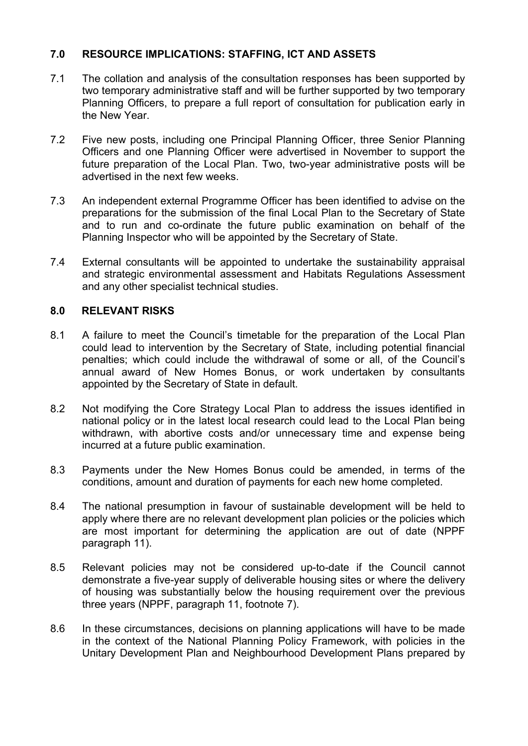# **7.0 RESOURCE IMPLICATIONS: STAFFING, ICT AND ASSETS**

- 7.1 The collation and analysis of the consultation responses has been supported by two temporary administrative staff and will be further supported by two temporary Planning Officers, to prepare a full report of consultation for publication early in the New Year.
- 7.2 Five new posts, including one Principal Planning Officer, three Senior Planning Officers and one Planning Officer were advertised in November to support the future preparation of the Local Plan. Two, two-year administrative posts will be advertised in the next few weeks.
- 7.3 An independent external Programme Officer has been identified to advise on the preparations for the submission of the final Local Plan to the Secretary of State and to run and co-ordinate the future public examination on behalf of the Planning Inspector who will be appointed by the Secretary of State.
- 7.4 External consultants will be appointed to undertake the sustainability appraisal and strategic environmental assessment and Habitats Regulations Assessment and any other specialist technical studies.

#### **8.0 RELEVANT RISKS**

- 8.1 A failure to meet the Council's timetable for the preparation of the Local Plan could lead to intervention by the Secretary of State, including potential financial penalties; which could include the withdrawal of some or all, of the Council's annual award of New Homes Bonus, or work undertaken by consultants appointed by the Secretary of State in default.
- 8.2 Not modifying the Core Strategy Local Plan to address the issues identified in national policy or in the latest local research could lead to the Local Plan being withdrawn, with abortive costs and/or unnecessary time and expense being incurred at a future public examination.
- 8.3 Payments under the New Homes Bonus could be amended, in terms of the conditions, amount and duration of payments for each new home completed.
- 8.4 The national presumption in favour of sustainable development will be held to apply where there are no relevant development plan policies or the policies which are most important for determining the application are out of date (NPPF paragraph 11).
- 8.5 Relevant policies may not be considered up-to-date if the Council cannot demonstrate a five-year supply of deliverable housing sites or where the delivery of housing was substantially below the housing requirement over the previous three years (NPPF, paragraph 11, footnote 7).
- 8.6 In these circumstances, decisions on planning applications will have to be made in the context of the National Planning Policy Framework, with policies in the Unitary Development Plan and Neighbourhood Development Plans prepared by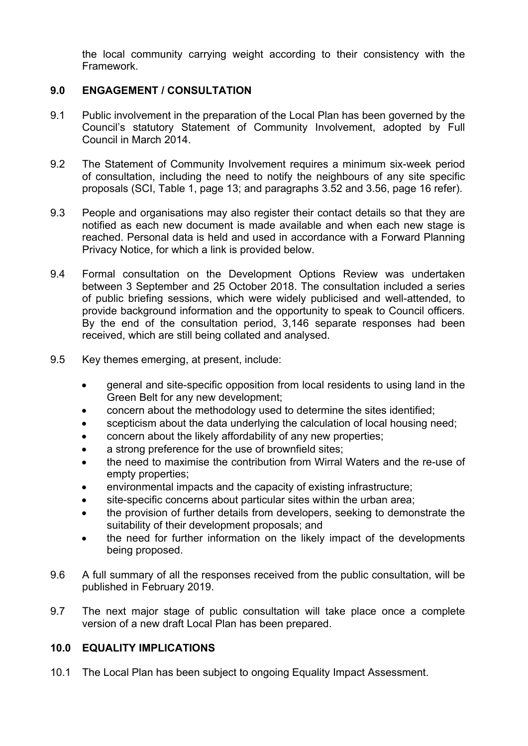the local community carrying weight according to their consistency with the Framework.

# **9.0 ENGAGEMENT / CONSULTATION**

- 9.1 Public involvement in the preparation of the Local Plan has been governed by the Council's statutory Statement of Community Involvement, adopted by Full Council in March 2014.
- 9.2 The Statement of Community Involvement requires a minimum six-week period of consultation, including the need to notify the neighbours of any site specific proposals (SCI, Table 1, page 13; and paragraphs 3.52 and 3.56, page 16 refer).
- 9.3 People and organisations may also register their contact details so that they are notified as each new document is made available and when each new stage is reached. Personal data is held and used in accordance with a Forward Planning Privacy Notice, for which a link is provided below.
- 9.4 Formal consultation on the Development Options Review was undertaken between 3 September and 25 October 2018. The consultation included a series of public briefing sessions, which were widely publicised and well-attended, to provide background information and the opportunity to speak to Council officers. By the end of the consultation period, 3,146 separate responses had been received, which are still being collated and analysed.
- 9.5 Key themes emerging, at present, include:
	- general and site-specific opposition from local residents to using land in the Green Belt for any new development;
	- concern about the methodology used to determine the sites identified;
	- scepticism about the data underlying the calculation of local housing need;
	- concern about the likely affordability of any new properties;
	- a strong preference for the use of brownfield sites;
	- the need to maximise the contribution from Wirral Waters and the re-use of empty properties;
	- environmental impacts and the capacity of existing infrastructure;
	- site-specific concerns about particular sites within the urban area;
	- the provision of further details from developers, seeking to demonstrate the suitability of their development proposals; and
	- the need for further information on the likely impact of the developments being proposed.
- 9.6 A full summary of all the responses received from the public consultation, will be published in February 2019.
- 9.7 The next major stage of public consultation will take place once a complete version of a new draft Local Plan has been prepared.

# **10.0 EQUALITY IMPLICATIONS**

10.1 The Local Plan has been subject to ongoing Equality Impact Assessment.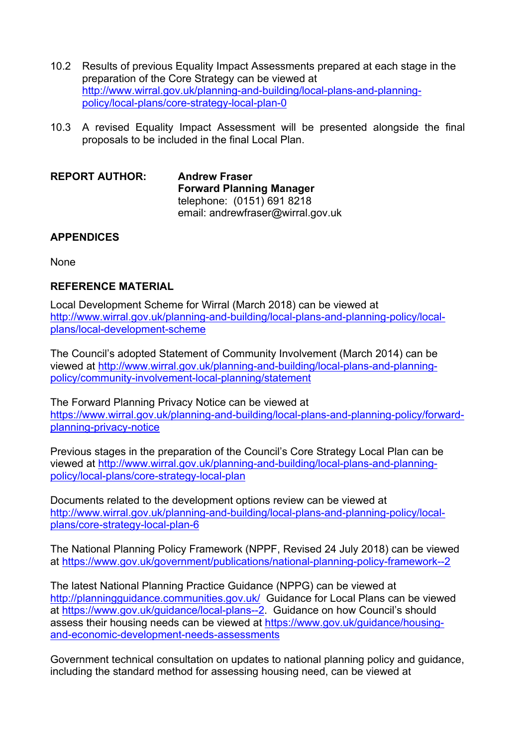- 10.2 Results of previous Equality Impact Assessments prepared at each stage in the preparation of the Core Strategy can be viewed at [http://www.wirral.gov.uk/planning-and-building/local-plans-and-planning](http://www.wirral.gov.uk/planning-and-building/local-plans-and-planning-policy/local-plans/core-strategy-local-plan-0)[policy/local-plans/core-strategy-local-plan-0](http://www.wirral.gov.uk/planning-and-building/local-plans-and-planning-policy/local-plans/core-strategy-local-plan-0)
- 10.3 A revised Equality Impact Assessment will be presented alongside the final proposals to be included in the final Local Plan.

**REPORT AUTHOR: Andrew Fraser Forward Planning Manager** telephone: (0151) 691 8218 email: andrewfraser@wirral.gov.uk

# **APPENDICES**

**None** 

# **REFERENCE MATERIAL**

Local Development Scheme for Wirral (March 2018) can be viewed at [http://www.wirral.gov.uk/planning-and-building/local-plans-and-planning-policy/local](http://www.wirral.gov.uk/planning-and-building/local-plans-and-planning-policy/local-plans/local-development-scheme)[plans/local-development-scheme](http://www.wirral.gov.uk/planning-and-building/local-plans-and-planning-policy/local-plans/local-development-scheme)

The Council's adopted Statement of Community Involvement (March 2014) can be viewed at [http://www.wirral.gov.uk/planning-and-building/local-plans-and-planning](http://www.wirral.gov.uk/planning-and-building/local-plans-and-planning-policy/community-involvement-local-planning/statement)[policy/community-involvement-local-planning/statement](http://www.wirral.gov.uk/planning-and-building/local-plans-and-planning-policy/community-involvement-local-planning/statement)

The Forward Planning Privacy Notice can be viewed at [https://www.wirral.gov.uk/planning-and-building/local-plans-and-planning-policy/forward](https://www.wirral.gov.uk/planning-and-building/local-plans-and-planning-policy/forward-planning-privacy-notice)[planning-privacy-notice](https://www.wirral.gov.uk/planning-and-building/local-plans-and-planning-policy/forward-planning-privacy-notice)

Previous stages in the preparation of the Council's Core Strategy Local Plan can be viewed at [http://www.wirral.gov.uk/planning-and-building/local-plans-and-planning](http://www.wirral.gov.uk/planning-and-building/local-plans-and-planning-policy/local-plans/core-strategy-local-plan)[policy/local-plans/core-strategy-local-plan](http://www.wirral.gov.uk/planning-and-building/local-plans-and-planning-policy/local-plans/core-strategy-local-plan) 

Documents related to the development options review can be viewed at [http://www.wirral.gov.uk/planning-and-building/local-plans-and-planning-policy/local](http://www.wirral.gov.uk/planning-and-building/local-plans-and-planning-policy/local-plans/core-strategy-local-plan-6)[plans/core-strategy-local-plan-6](http://www.wirral.gov.uk/planning-and-building/local-plans-and-planning-policy/local-plans/core-strategy-local-plan-6)

The National Planning Policy Framework (NPPF, Revised 24 July 2018) can be viewed at <https://www.gov.uk/government/publications/national-planning-policy-framework--2>

The latest National Planning Practice Guidance (NPPG) can be viewed at <http://planningguidance.communities.gov.uk/>Guidance for Local Plans can be viewed at <https://www.gov.uk/guidance/local-plans--2>. Guidance on how Council's should assess their housing needs can be viewed at [https://www.gov.uk/guidance/housing](https://www.gov.uk/guidance/housing-and-economic-development-needs-assessments)[and-economic-development-needs-assessments](https://www.gov.uk/guidance/housing-and-economic-development-needs-assessments)

Government technical consultation on updates to national planning policy and guidance, including the standard method for assessing housing need, can be viewed at